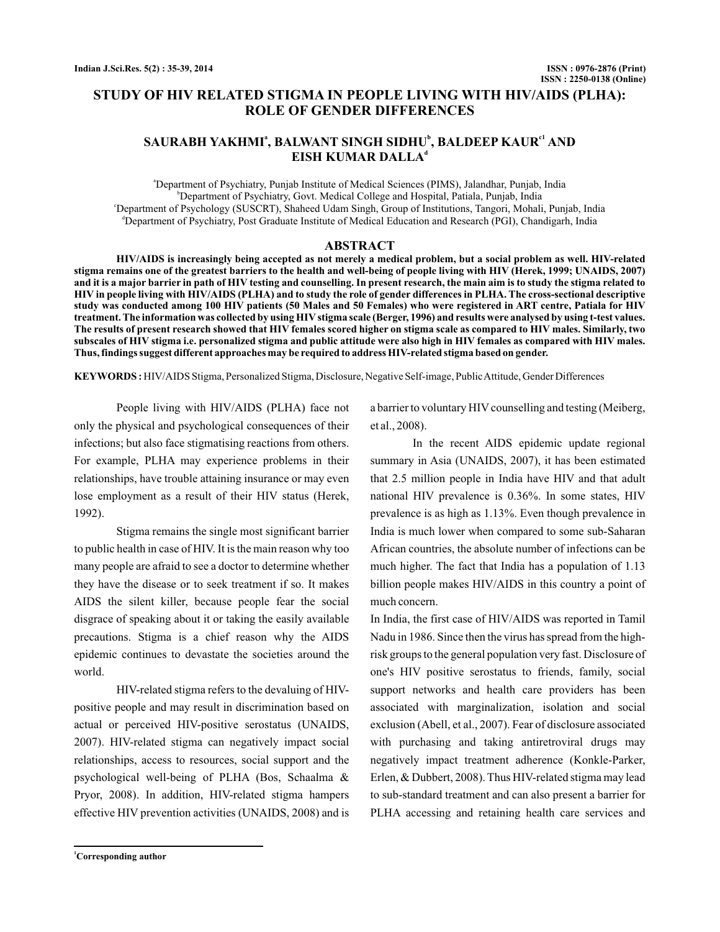# **STUDY OF HIV RELATED STIGMA IN PEOPLE LIVING WITH HIV/AIDS (PLHA): ROLE OF GENDER DIFFERENCES**

# $\mathbf S$ AURABH YAKHMI $^*$ , BALWANT SINGH SIDHU $^{\flat}$ , BALDEEP KAUR $^{\mathfrak{cl}}$  AND **EISH KUMAR DALLA d**

a Department of Psychiatry, Punjab Institute of Medical Sciences (PIMS), Jalandhar, Punjab, India b Department of Psychiatry, Govt. Medical College and Hospital, Patiala, Punjab, India c Department of Psychology (SUSCRT), Shaheed Udam Singh, Group of Institutions, Tangori, Mohali, Punjab, India d Department of Psychiatry, Post Graduate Institute of Medical Education and Research (PGI), Chandigarh, India

### **ABSTRACT**

**HIV/AIDS is increasingly being accepted as not merely a medical problem, but a social problem as well. HIV-related stigma remains one of the greatest barriers to the health and well-being of people living with HIV (Herek, 1999; UNAIDS, 2007) and it is a major barrier in path of HIV testing and counselling. In present research, the main aim is to study the stigma related to HIV in people living with HIV/AIDS (PLHA) and to study the role of gender differences in PLHA. The cross-sectional descriptive study was conducted among 100 HIV patients (50 Males and 50 Females) who were registered in ART centre, Patiala for HIV treatment. The information was collected by using HIV stigma scale (Berger, 1996) and results were analysed by using t-test values. The results of present research showed that HIV females scored higher on stigma scale as compared to HIV males. Similarly, two subscales of HIV stigma i.e. personalized stigma and public attitude were also high in HIV females as compared with HIV males. Thus, findings suggest different approaches may be required to address HIV-related stigma based on gender.**

**KEYWORDS :** HIV/AIDS Stigma, Personalized Stigma, Disclosure, Negative Self-image, PublicAttitude, Gender Differences

People living with HIV/AIDS (PLHA) face not only the physical and psychological consequences of their infections; but also face stigmatising reactions from others. For example, PLHA may experience problems in their relationships, have trouble attaining insurance or may even lose employment as a result of their HIV status (Herek, 1992).

Stigma remains the single most significant barrier to public health in case of HIV. It is the main reason why too many people are afraid to see a doctor to determine whether they have the disease or to seek treatment if so. It makes AIDS the silent killer, because people fear the social disgrace of speaking about it or taking the easily available precautions. Stigma is a chief reason why the AIDS epidemic continues to devastate the societies around the world.

HIV-related stigma refers to the devaluing of HIVpositive people and may result in discrimination based on actual or perceived HIV-positive serostatus (UNAIDS, 2007). HIV-related stigma can negatively impact social relationships, access to resources, social support and the psychological well-being of PLHA (Bos, Schaalma & Pryor, 2008). In addition, HIV-related stigma hampers effective HIV prevention activities (UNAIDS, 2008) and is

**<sup>1</sup>Corresponding author**

a barrier to voluntary HIV counselling and testing (Meiberg, et al., 2008).

In the recent AIDS epidemic update regional summary in Asia (UNAIDS, 2007), it has been estimated that 2.5 million people in India have HIV and that adult national HIV prevalence is 0.36%. In some states, HIV prevalence is as high as 1.13%. Even though prevalence in India is much lower when compared to some sub-Saharan African countries, the absolute number of infections can be much higher. The fact that India has a population of 1.13 billion people makes HIV/AIDS in this country a point of much concern.

In India, the first case of HIV/AIDS was reported in Tamil Nadu in 1986. Since then the virus has spread from the highrisk groups to the general population very fast. Disclosure of one's HIV positive serostatus to friends, family, social support networks and health care providers has been associated with marginalization, isolation and social exclusion (Abell, et al., 2007). Fear of disclosure associated with purchasing and taking antiretroviral drugs may negatively impact treatment adherence (Konkle-Parker, Erlen, & Dubbert, 2008). Thus HIV-related stigma may lead to sub-standard treatment and can also present a barrier for PLHA accessing and retaining health care services and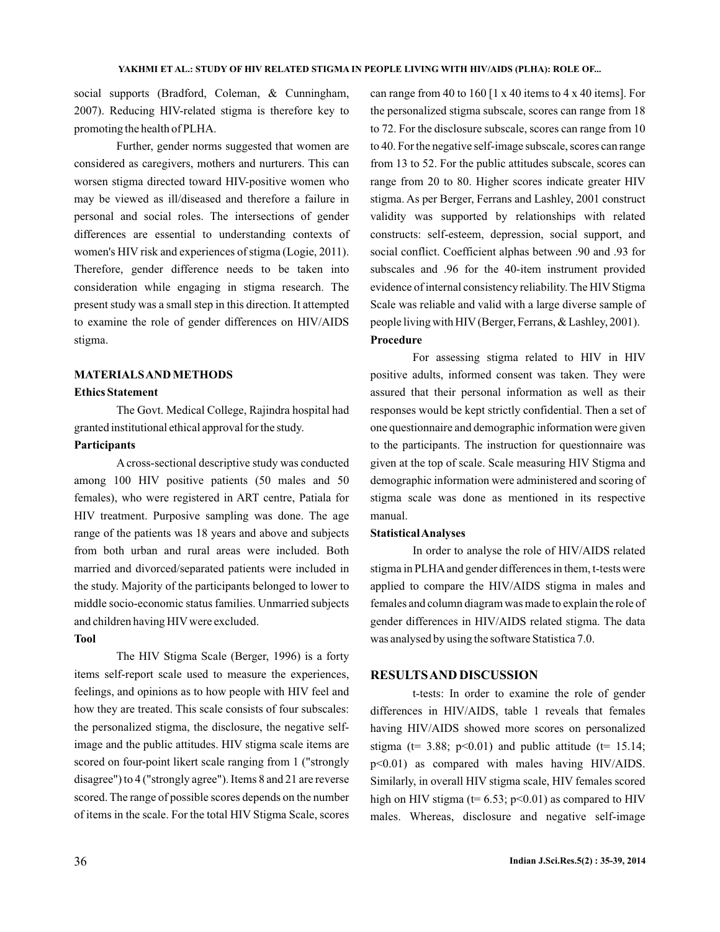social supports (Bradford, Coleman, & Cunningham, 2007). Reducing HIV-related stigma is therefore key to promoting the health of PLHA.

Further, gender norms suggested that women are considered as caregivers, mothers and nurturers. This can worsen stigma directed toward HIV-positive women who may be viewed as ill/diseased and therefore a failure in personal and social roles. The intersections of gender differences are essential to understanding contexts of women's HIV risk and experiences of stigma (Logie, 2011). Therefore, gender difference needs to be taken into consideration while engaging in stigma research. The present study was a small step in this direction. It attempted to examine the role of gender differences on HIV/AIDS stigma.

## **MATERIALSAND METHODS**

#### **Ethics Statement**

The Govt. Medical College, Rajindra hospital had granted institutional ethical approval for the study.

### **Participants**

A cross-sectional descriptive study was conducted among 100 HIV positive patients (50 males and 50 females), who were registered in ART centre, Patiala for HIV treatment. Purposive sampling was done. The age range of the patients was 18 years and above and subjects from both urban and rural areas were included. Both married and divorced/separated patients were included in the study. Majority of the participants belonged to lower to middle socio-economic status families. Unmarried subjects and children having HIV were excluded.

### **Tool**

The HIV Stigma Scale (Berger, 1996) is a forty items self-report scale used to measure the experiences, feelings, and opinions as to how people with HIV feel and how they are treated. This scale consists of four subscales: the personalized stigma, the disclosure, the negative selfimage and the public attitudes. HIV stigma scale items are scored on four-point likert scale ranging from 1 ("strongly disagree") to 4 ("strongly agree"). Items 8 and 21 are reverse scored. The range of possible scores depends on the number of items in the scale. For the total HIV Stigma Scale, scores can range from 40 to 160 [1 x 40 items to 4 x 40 items]. For the personalized stigma subscale, scores can range from 18 to 72. For the disclosure subscale, scores can range from 10 to 40. For the negative self-image subscale, scores can range from 13 to 52. For the public attitudes subscale, scores can range from 20 to 80. Higher scores indicate greater HIV stigma. As per Berger, Ferrans and Lashley, 2001 construct validity was supported by relationships with related constructs: self-esteem, depression, social support, and social conflict. Coefficient alphas between .90 and .93 for subscales and .96 for the 40-item instrument provided evidence of internal consistency reliability. The HIV Stigma Scale was reliable and valid with a large diverse sample of people living with HIV (Berger, Ferrans, & Lashley, 2001).

#### **Procedure**

For assessing stigma related to HIV in HIV positive adults, informed consent was taken. They were assured that their personal information as well as their responses would be kept strictly confidential. Then a set of one questionnaire and demographic information were given to the participants. The instruction for questionnaire was given at the top of scale. Scale measuring HIV Stigma and demographic information were administered and scoring of stigma scale was done as mentioned in its respective manual.

#### **StatisticalAnalyses**

In order to analyse the role of HIV/AIDS related stigma in PLHAand gender differences in them, t-tests were applied to compare the HIV/AIDS stigma in males and females and column diagram was made to explain the role of gender differences in HIV/AIDS related stigma. The data was analysed by using the software Statistica 7.0.

### **RESULTSAND DISCUSSION**

t-tests: In order to examine the role of gender differences in HIV/AIDS, table 1 reveals that females having HIV/AIDS showed more scores on personalized stigma ( $t= 3.88$ ;  $p<0.01$ ) and public attitude ( $t= 15.14$ ; p<0.01) as compared with males having HIV/AIDS. Similarly, in overall HIV stigma scale, HIV females scored high on HIV stigma ( $t= 6.53$ ;  $p<0.01$ ) as compared to HIV males. Whereas, disclosure and negative self-image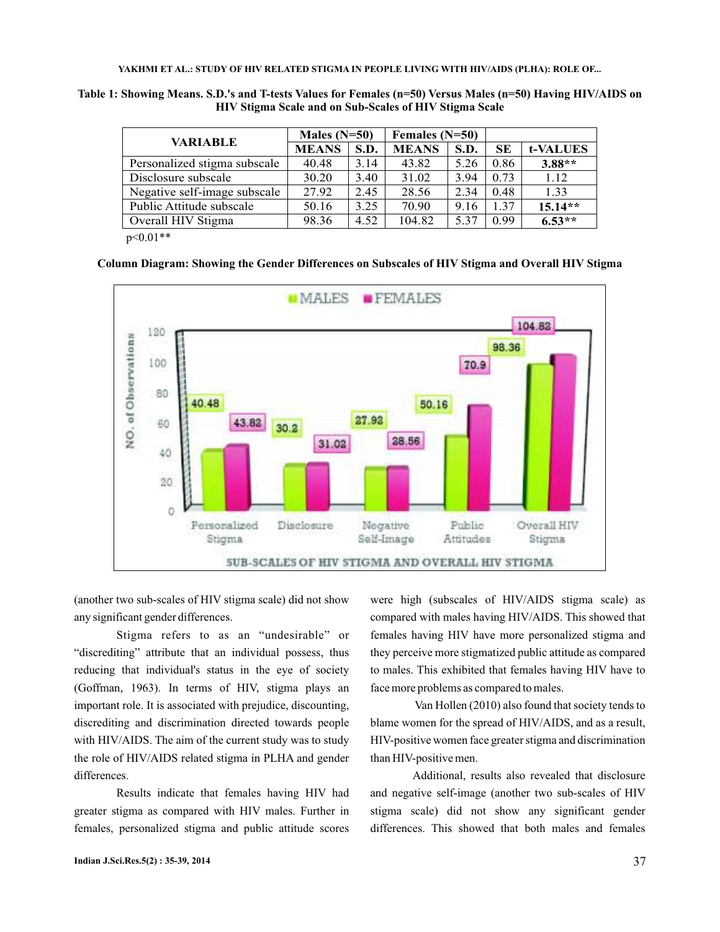**YAKHMI ET AL.: STUDY OF HIV RELATED STIGMA IN PEOPLE LIVING WITH HIV/AIDS (PLHA): ROLE OF...**

**Table 1: Showing Means. S.D.'s and T-tests Values for Females (n=50) Versus Males (n=50) Having HIV/AIDS on HIV Stigma Scale and on Sub-Scales of HIV Stigma Scale**

| <b>VARIABLE</b>                           | Males $(N=50)$ |      | Females (N=50) |      |           |           |
|-------------------------------------------|----------------|------|----------------|------|-----------|-----------|
|                                           | <b>MEANS</b>   | S.D. | <b>MEANS</b>   | S.D. | <b>SE</b> | t-VALUES  |
| Personalized stigma subscale              | 40.48          | 3.14 | 43.82          | 5.26 | 0.86      | $3.88**$  |
| Disclosure subscale                       | 30.20          | 3.40 | 31.02          | 3.94 | 0.73      | 1.12      |
| Negative self-image subscale              | 27.92          | 2.45 | 28.56          | 2.34 | 0.48      | 1.33      |
| Public Attitude subscale                  | 50.16          | 3.25 | 70.90          | 9.16 | 1.37      | $15.14**$ |
| Overall HIV Stigma                        | 98.36          | 4.52 | 104.82         | 5.37 | 0.99      | $6.53**$  |
| $\sim$ $\sim$ $\sim$ $\sim$ $\sim$ $\sim$ |                |      |                |      |           |           |

 $p<0.01**$ 

**Column Diagram: Showing the Gender Differences on Subscales of HIV Stigma and Overall HIV Stigma**



(another two sub-scales of HIV stigma scale) did not show any significant gender differences.

Stigma refers to as an "undesirable" or "discrediting" attribute that an individual possess, thus reducing that individual's status in the eye of society (Goffman, 1963). In terms of HIV, stigma plays an important role. It is associated with prejudice, discounting, discrediting and discrimination directed towards people with HIV/AIDS. The aim of the current study was to study the role of HIV/AIDS related stigma in PLHA and gender differences.

Results indicate that females having HIV had greater stigma as compared with HIV males. Further in females, personalized stigma and public attitude scores

were high (subscales of HIV/AIDS stigma scale) as compared with males having HIV/AIDS. This showed that females having HIV have more personalized stigma and they perceive more stigmatized public attitude as compared to males. This exhibited that females having HIV have to face more problems as compared to males.

Van Hollen (2010) also found that society tends to blame women for the spread of HIV/AIDS, and as a result, HIV-positive women face greater stigma and discrimination than HIV-positive men.

Additional, results also revealed that disclosure and negative self-image (another two sub-scales of HIV stigma scale) did not show any significant gender differences. This showed that both males and females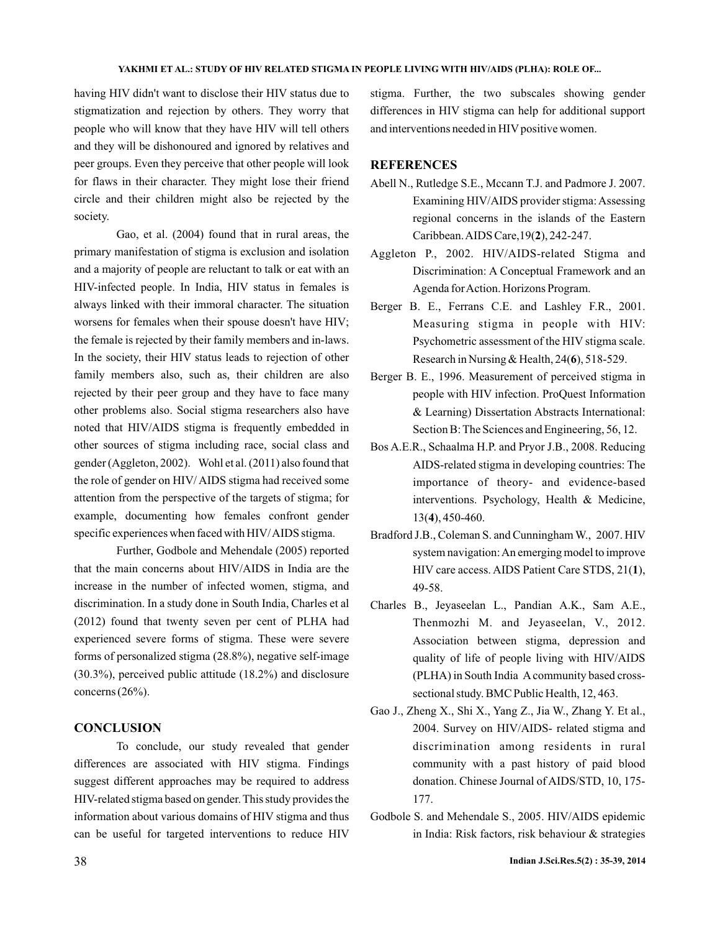#### **YAKHMI ET AL.: STUDY OF HIV RELATED STIGMA IN PEOPLE LIVING WITH HIV/AIDS (PLHA): ROLE OF...**

having HIV didn't want to disclose their HIV status due to stigmatization and rejection by others. They worry that people who will know that they have HIV will tell others and they will be dishonoured and ignored by relatives and peer groups. Even they perceive that other people will look for flaws in their character. They might lose their friend circle and their children might also be rejected by the society.

Gao, et al. (2004) found that in rural areas, the primary manifestation of stigma is exclusion and isolation and a majority of people are reluctant to talk or eat with an HIV-infected people. In India, HIV status in females is always linked with their immoral character. The situation worsens for females when their spouse doesn't have HIV; the female is rejected by their family members and in-laws. In the society, their HIV status leads to rejection of other family members also, such as, their children are also rejected by their peer group and they have to face many other problems also. Social stigma researchers also have noted that HIV/AIDS stigma is frequently embedded in other sources of stigma including race, social class and gender (Aggleton, 2002). Wohl et al. (2011) also found that the role of gender on HIV/ AIDS stigma had received some attention from the perspective of the targets of stigma; for example, documenting how females confront gender specific experiences when faced with HIV/AIDS stigma.

Further, Godbole and Mehendale (2005) reported that the main concerns about HIV/AIDS in India are the increase in the number of infected women, stigma, and discrimination. In a study done in South India, Charles et al (2012) found that twenty seven per cent of PLHA had experienced severe forms of stigma. These were severe forms of personalized stigma (28.8%), negative self-image (30.3%), perceived public attitude (18.2%) and disclosure concerns (26%).

## **CONCLUSION**

To conclude, our study revealed that gender differences are associated with HIV stigma. Findings suggest different approaches may be required to address HIV-related stigma based on gender. This study provides the information about various domains of HIV stigma and thus can be useful for targeted interventions to reduce HIV

stigma. Further, the two subscales showing gender differences in HIV stigma can help for additional support and interventions needed in HIV positive women.

# **REFERENCES**

- Abell N., Rutledge S.E., Mccann T.J. and Padmore J. 2007. Examining HIV/AIDS provider stigma: Assessing regional concerns in the islands of the Eastern Caribbean. AIDS Care, 19(**2**), 242-247.
- Aggleton P., 2002. HIV/AIDS-related Stigma and Discrimination: A Conceptual Framework and an Agenda forAction. Horizons Program.
- Berger B. E., Ferrans C.E. and Lashley F.R., 2001. Measuring stigma in people with HIV: Psychometric assessment of the HIV stigma scale. Research in Nursing & Health,  $24(6)$ ,  $518-529$ .
- Berger B. E., 1996. Measurement of perceived stigma in people with HIV infection. ProQuest Information & Learning) Dissertation Abstracts International: Section B: The Sciences and Engineering, 56, 12.
- Bos A.E.R., Schaalma H.P. and Pryor J.B., 2008. Reducing AIDS-related stigma in developing countries: The importance of theory- and evidence-based interventions. Psychology, Health & Medicine, 13(4), 450-460.
- Bradford J.B., Coleman S. and Cunningham W., 2007. HIV system navigation:An emerging model to improve HIV care access. AIDS Patient Care STDS, 21(1), 49-58.
- Charles B., Jeyaseelan L., Pandian A.K., Sam A.E., Thenmozhi M. and Jeyaseelan, V., 2012. Association between stigma, depression and quality of life of people living with HIV/AIDS (PLHA) in South India Acommunity based crosssectional study. BMC Public Health, 12, 463.
- Gao J., Zheng X., Shi X., Yang Z., Jia W., Zhang Y. Et al., 2004. Survey on HIV/AIDS- related stigma and discrimination among residents in rural community with a past history of paid blood donation. Chinese Journal of AIDS/STD, 10, 175- 177.
- Godbole S. and Mehendale S., 2005. HIV/AIDS epidemic in India: Risk factors, risk behaviour & strategies